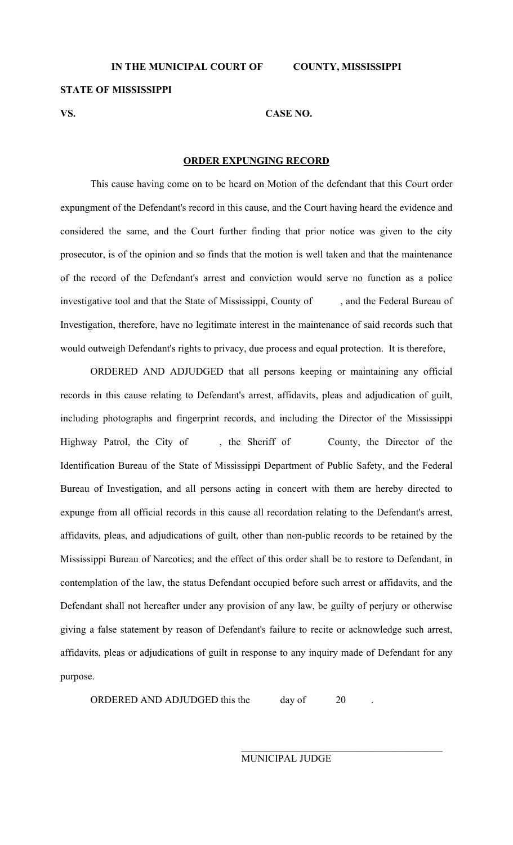**STATE OF MISSISSIPPI** 

## **VS. CASE NO.**

## **ORDER EXPUNGING RECORD**

 This cause having come on to be heard on Motion of the defendant that this Court order expungment of the Defendant's record in this cause, and the Court having heard the evidence and considered the same, and the Court further finding that prior notice was given to the city prosecutor, is of the opinion and so finds that the motion is well taken and that the maintenance of the record of the Defendant's arrest and conviction would serve no function as a police investigative tool and that the State of Mississippi, County of , and the Federal Bureau of Investigation, therefore, have no legitimate interest in the maintenance of said records such that would outweigh Defendant's rights to privacy, due process and equal protection. It is therefore,

 ORDERED AND ADJUDGED that all persons keeping or maintaining any official records in this cause relating to Defendant's arrest, affidavits, pleas and adjudication of guilt, including photographs and fingerprint records, and including the Director of the Mississippi Highway Patrol, the City of , the Sheriff of County, the Director of the Identification Bureau of the State of Mississippi Department of Public Safety, and the Federal Bureau of Investigation, and all persons acting in concert with them are hereby directed to expunge from all official records in this cause all recordation relating to the Defendant's arrest, affidavits, pleas, and adjudications of guilt, other than non-public records to be retained by the Mississippi Bureau of Narcotics; and the effect of this order shall be to restore to Defendant, in contemplation of the law, the status Defendant occupied before such arrest or affidavits, and the Defendant shall not hereafter under any provision of any law, be guilty of perjury or otherwise giving a false statement by reason of Defendant's failure to recite or acknowledge such arrest, affidavits, pleas or adjudications of guilt in response to any inquiry made of Defendant for any purpose.

ORDERED AND ADJUDGED this the day of 20

MUNICIPAL JUDGE

 $\mathcal{L}_\mathcal{L} = \{ \mathcal{L}_\mathcal{L} \mid \mathcal{L}_\mathcal{L} \in \mathcal{L}_\mathcal{L} \}$